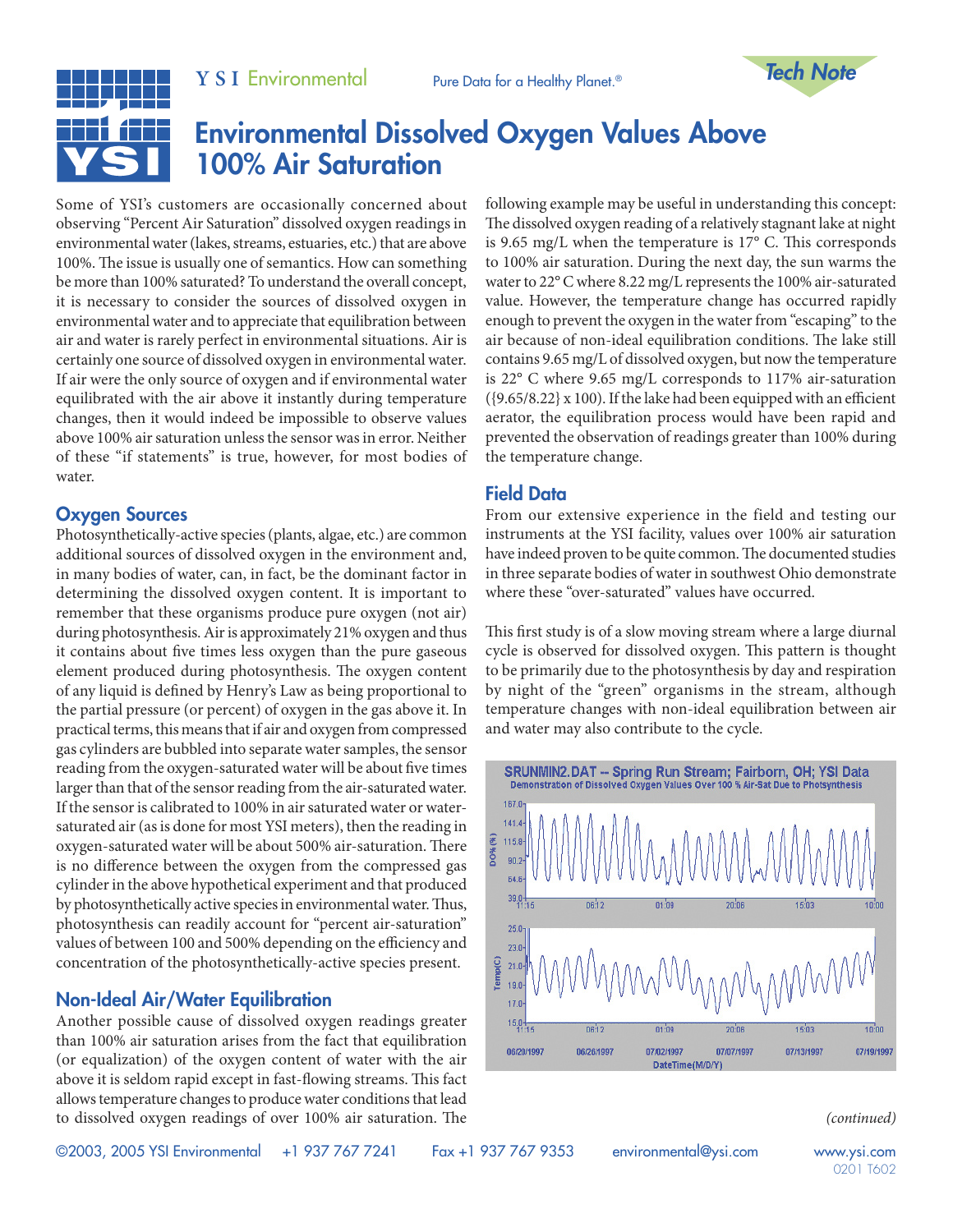

# Environmental Dissolved Oxygen Values Above 100% Air Saturation

Some of YSI's customers are occasionally concerned about observing "Percent Air Saturation" dissolved oxygen readings in environmental water (lakes, streams, estuaries, etc.) that are above 100%. The issue is usually one of semantics. How can something be more than 100% saturated? To understand the overall concept, it is necessary to consider the sources of dissolved oxygen in environmental water and to appreciate that equilibration between air and water is rarely perfect in environmental situations. Air is certainly one source of dissolved oxygen in environmental water. If air were the only source of oxygen and if environmental water equilibrated with the air above it instantly during temperature changes, then it would indeed be impossible to observe values above 100% air saturation unless the sensor was in error. Neither of these "if statements" is true, however, for most bodies of water.

## Oxygen Sources

Photosynthetically-active species (plants, algae, etc.) are common additional sources of dissolved oxygen in the environment and, in many bodies of water, can, in fact, be the dominant factor in determining the dissolved oxygen content. It is important to remember that these organisms produce pure oxygen (not air) during photosynthesis. Air is approximately 21% oxygen and thus it contains about five times less oxygen than the pure gaseous element produced during photosynthesis. The oxygen content of any liquid is defined by Henry's Law as being proportional to the partial pressure (or percent) of oxygen in the gas above it. In practical terms, this means that if air and oxygen from compressed gas cylinders are bubbled into separate water samples, the sensor reading from the oxygen-saturated water will be about five times larger than that of the sensor reading from the air-saturated water. If the sensor is calibrated to 100% in air saturated water or watersaturated air (as is done for most YSI meters), then the reading in oxygen-saturated water will be about 500% air-saturation. There is no difference between the oxygen from the compressed gas cylinder in the above hypothetical experiment and that produced by photosynthetically active species in environmental water. Thus, photosynthesis can readily account for "percent air-saturation" values of between 100 and 500% depending on the efficiency and concentration of the photosynthetically-active species present.

# Non-Ideal Air/Water Equilibration

Another possible cause of dissolved oxygen readings greater than 100% air saturation arises from the fact that equilibration (or equalization) of the oxygen content of water with the air above it is seldom rapid except in fast-flowing streams. This fact allows temperature changes to produce water conditions that lead to dissolved oxygen readings of over 100% air saturation. The

following example may be useful in understanding this concept: The dissolved oxygen reading of a relatively stagnant lake at night is 9.65 mg/L when the temperature is 17° C. This corresponds to 100% air saturation. During the next day, the sun warms the water to 22° C where 8.22 mg/L represents the 100% air-saturated value. However, the temperature change has occurred rapidly enough to prevent the oxygen in the water from "escaping" to the air because of non-ideal equilibration conditions. The lake still contains 9.65 mg/L of dissolved oxygen, but now the temperature is 22° C where 9.65 mg/L corresponds to 117% air-saturation  $({9.65}/8.22)$  x 100). If the lake had been equipped with an efficient aerator, the equilibration process would have been rapid and prevented the observation of readings greater than 100% during the temperature change.

## Field Data

From our extensive experience in the field and testing our instruments at the YSI facility, values over 100% air saturation have indeed proven to be quite common. The documented studies in three separate bodies of water in southwest Ohio demonstrate where these "over-saturated" values have occurred.

This first study is of a slow moving stream where a large diurnal cycle is observed for dissolved oxygen. This pattern is thought to be primarily due to the photosynthesis by day and respiration by night of the "green" organisms in the stream, although temperature changes with non-ideal equilibration between air and water may also contribute to the cycle.



*(continued)*

©2003, 2005 YSI Environmental +1 937 767 7241 Fax +1 937 767 9353 environmental@ysi.com www.ysi.com

0201 T602